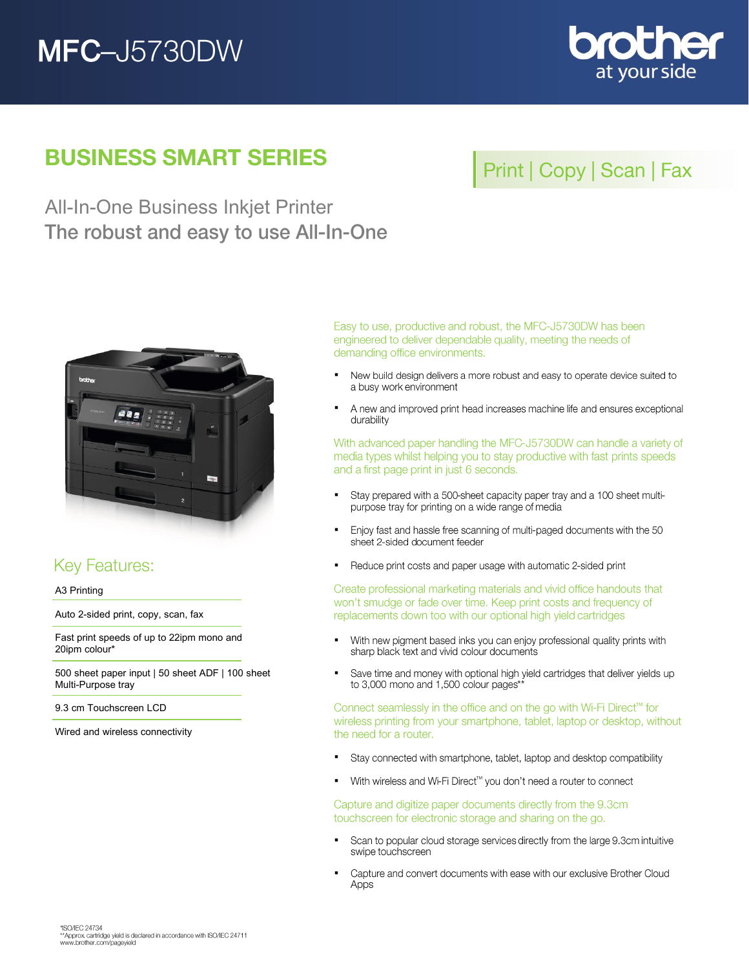# **MFC-J5730DW**



## **BUSINESS SMART SERIES**

## Print | Copy | Scan | Fax

All-In-One Business Inkjet Printer The robust and easy to use All-In-One



## **Key Features:**

A3 Printing

Auto 2-sided print, copy, scan, fax

Fast print speeds of up to 22ipm mono and 20ipm colour\*

500 sheet paper input | 50 sheet ADF | 100 sheet Multi-Purpose tray

9.3 cm Touchscreen LCD

Wired and wireless connectivity

Easy to use, productive and robust, the MFC-J5730DW has been engineered to deliver dependable quality, meeting the needs of demanding office environments.

- New build design delivers a more robust and easy to operate device suited to  $\blacksquare$ a busy work environment
- $\blacksquare$ A new and improved print head increases machine life and ensures exceptional durability

With advanced paper handling the MFC-J5730DW can handle a variety of media types whilst helping you to stay productive with fast prints speeds and a first page print in just 6 seconds.

- Stay prepared with a 500-sheet capacity paper tray and a 100 sheet multi- $\blacksquare$ purpose tray for printing on a wide range of media
- $\blacksquare$ Enjoy fast and hassle free scanning of multi-paged documents with the 50 sheet 2-sided document feeder
- Reduce print costs and paper usage with automatic 2-sided print j,

Create professional marketing materials and vivid office handouts that won't smudge or fade over time. Keep print costs and frequency of replacements down too with our optional high yield cartridges

- $\blacksquare$ With new pigment based inks you can enjoy professional quality prints with sharp black text and vivid colour documents
- $\blacksquare$ Save time and money with optional high yield cartridges that deliver yields up to 3,000 mono and 1,500 colour pages\*

Connect seamlessly in the office and on the go with Wi-Fi Direct™ for wireless printing from your smartphone, tablet, laptop or desktop, without the need for a router.

- $\blacksquare$ Stay connected with smartphone, tablet, laptop and desktop compatibility
- With wireless and Wi-Fi Direct™ you don't need a router to connect  $\blacksquare$

Capture and digitize paper documents directly from the 9.3cm touchscreen for electronic storage and sharing on the go.

- Scan to popular cloud storage services directly from the large 9.3cm intuitive  $\blacksquare$ swipe touchscreen
- $\blacksquare$ Capture and convert documents with ease with our exclusive Brother Cloud Apps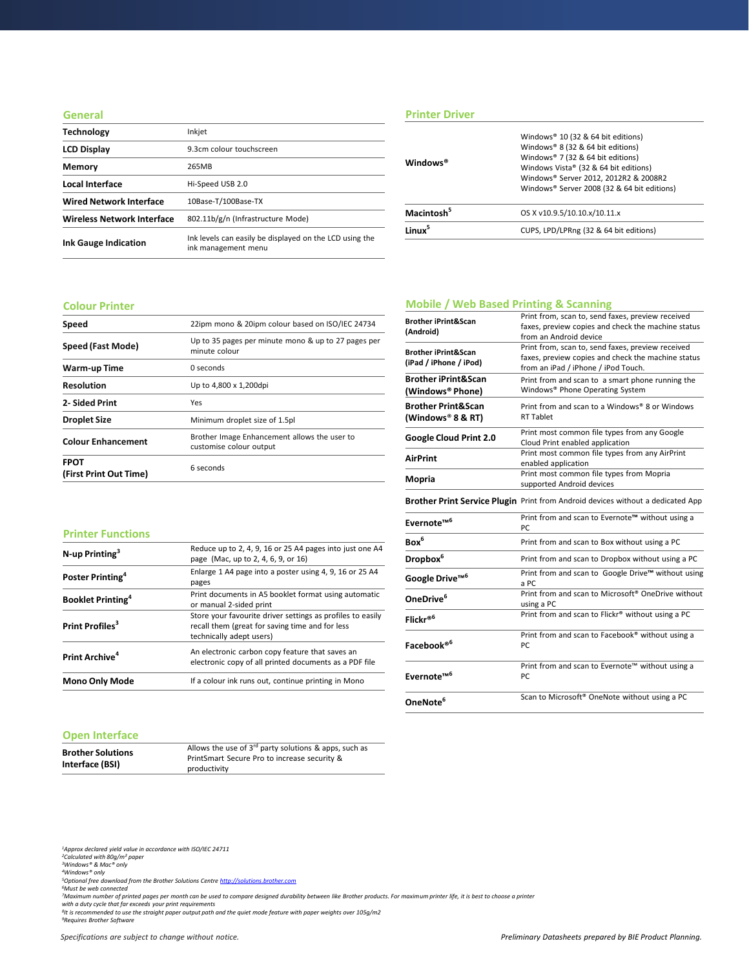#### **General**

| <b>Technology</b>                 | Inkjet                                                                         |
|-----------------------------------|--------------------------------------------------------------------------------|
| <b>LCD Display</b>                | 9.3cm colour touchscreen                                                       |
| Memory                            | 265MB                                                                          |
| Local Interface                   | Hi-Speed USB 2.0                                                               |
| <b>Wired Network Interface</b>    | 10Base-T/100Base-TX                                                            |
| <b>Wireless Network Interface</b> | 802.11b/g/n (Infrastructure Mode)                                              |
| <b>Ink Gauge Indication</b>       | Ink levels can easily be displayed on the LCD using the<br>ink management menu |

## **Printer Driver**

| Windows <sup>®</sup>   | Windows® 10 (32 & 64 bit editions)<br>Windows® 8 (32 & 64 bit editions)<br>Windows® 7 (32 & 64 bit editions)<br>Windows Vista® (32 & 64 bit editions)<br>Windows® Server 2012, 2012R2 & 2008R2<br>Windows® Server 2008 (32 & 64 bit editions) |
|------------------------|-----------------------------------------------------------------------------------------------------------------------------------------------------------------------------------------------------------------------------------------------|
| Macintosh <sup>5</sup> | OS X v10.9.5/10.10.x/10.11.x                                                                                                                                                                                                                  |
| l inuv <sup>5</sup>    | CUPS, LPD/LPRng (32 & 64 bit editions)                                                                                                                                                                                                        |
|                        |                                                                                                                                                                                                                                               |

#### **Colour Printer**

| Speed                                 | 22ipm mono & 20ipm colour based on ISO/IEC 24734                        |
|---------------------------------------|-------------------------------------------------------------------------|
| Speed (Fast Mode)                     | Up to 35 pages per minute mono & up to 27 pages per<br>minute colour    |
| Warm-up Time                          | 0 seconds                                                               |
| <b>Resolution</b>                     | Up to 4,800 x 1,200dpi                                                  |
| 2- Sided Print                        | Yes                                                                     |
| <b>Droplet Size</b>                   | Minimum droplet size of 1.5pl                                           |
| <b>Colour Enhancement</b>             | Brother Image Enhancement allows the user to<br>customise colour output |
| <b>FPOT</b><br>(First Print Out Time) | 6 seconds                                                               |

## **Mobile / Web Based Printing & Scanning**

| <b>Brother iPrint&amp;Scan</b><br>(Android)              | Print from, scan to, send faxes, preview received<br>faxes, preview copies and check the machine status<br>from an Android device              |
|----------------------------------------------------------|------------------------------------------------------------------------------------------------------------------------------------------------|
| <b>Brother iPrint&amp;Scan</b><br>(iPad / iPhone / iPod) | Print from, scan to, send faxes, preview received<br>faxes, preview copies and check the machine status<br>from an iPad / iPhone / iPod Touch. |
| <b>Brother iPrint&amp;Scan</b><br>(Windows® Phone)       | Print from and scan to a smart phone running the<br>Windows® Phone Operating System                                                            |
| <b>Brother Print&amp;Scan</b><br>(Windows® 8 & RT)       | Print from and scan to a Windows® 8 or Windows<br><b>RT Tablet</b>                                                                             |
| Google Cloud Print 2.0                                   | Print most common file types from any Google<br>Cloud Print enabled application                                                                |
| <b>AirPrint</b>                                          | Print most common file types from any AirPrint<br>enabled application                                                                          |
| Mopria                                                   | Print most common file types from Mopria<br>supported Android devices                                                                          |
|                                                          | Brother Print Service Plugin Print from Android devices without a dedicated App                                                                |
| Evernote <sup>™6</sup>                                   | Print from and scan to Evernote™ without using a<br>PC.                                                                                        |
| Box <sup>6</sup>                                         | Print from and scan to Box without using a PC                                                                                                  |
| Dropbox <sup>6</sup>                                     | Print from and scan to Dropbox without using a PC                                                                                              |
| Google Drive <sup>™6</sup>                               | Print from and scan to Google Drive™ without using<br>a PC                                                                                     |
| OneDrive <sup>6</sup>                                    | Print from and scan to Microsoft <sup>®</sup> OneDrive without<br>using a PC                                                                   |
| Flickr® <sup>6</sup>                                     | Print from and scan to Flickr® without using a PC                                                                                              |
| Facebook® <sup>6</sup>                                   | Print from and scan to Facebook® without using a<br>PC                                                                                         |
| Evernote <sup>™6</sup>                                   | Print from and scan to Evernote™ without using a<br>PC.                                                                                        |
| OneNote <sup>6</sup>                                     | Scan to Microsoft <sup>®</sup> OneNote without using a PC                                                                                      |

#### **Printer Functions**

| <b>Mono Only Mode</b>                | If a colour ink runs out, continue printing in Mono                                                                                       |
|--------------------------------------|-------------------------------------------------------------------------------------------------------------------------------------------|
| Print Archive <sup>4</sup>           | An electronic carbon copy feature that saves an<br>electronic copy of all printed documents as a PDF file                                 |
| Print Profiles <sup>3</sup>          | Store your favourite driver settings as profiles to easily<br>recall them (great for saving time and for less<br>technically adept users) |
| <b>Booklet Printing</b> <sup>4</sup> | Print documents in A5 booklet format using automatic<br>or manual 2-sided print                                                           |
| Poster Printing <sup>4</sup>         | Enlarge 1 A4 page into a poster using 4, 9, 16 or 25 A4<br>pages                                                                          |
| $N$ -up Printing <sup>3</sup>        | Reduce up to 2, 4, 9, 16 or 25 A4 pages into just one A4<br>page (Mac, up to 2, 4, 6, 9, or 16)                                           |

#### **Open Interface**

| <b>Brother Solutions</b> | Allows the use of $3^{rd}$ party solutions & apps, such as<br>PrintSmart Secure Pro to increase security & |
|--------------------------|------------------------------------------------------------------------------------------------------------|
| Interface (BSI)          | productivity                                                                                               |

*<sup>1</sup>Approx declared yield value in accordance with ISO/IEC 24711 <sup>2</sup>Calculated with 80g/m² paper <sup>3</sup>Windows® & Mac® only*

<sup>4</sup>Windows® only<br><sup>5</sup>Optional free download from the Brother Solutions Centre <u>[http://solutions.brother.com](http://solutions.brother.com/)</u><br><sup>5</sup>Must be web connected<br><sup>7</sup>Maximum number of printed pages per month can be used to compare designed durability b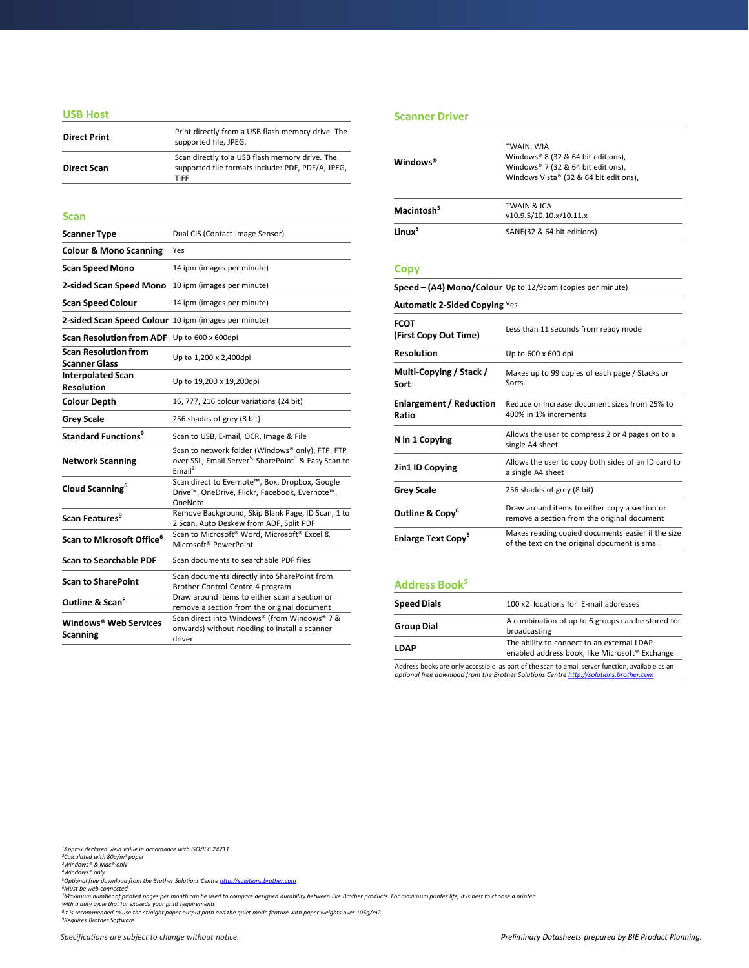#### **USB Host**

| <b>Direct Print</b> | Print directly from a USB flash memory drive. The<br>supported file, JPEG,                                         |
|---------------------|--------------------------------------------------------------------------------------------------------------------|
| <b>Direct Scan</b>  | Scan directly to a USB flash memory drive. The<br>supported file formats include: PDF, PDF/A, JPEG,<br><b>TIFF</b> |

#### **Scan**

| <b>Scanner Type</b>                                  | Dual CIS (Contact Image Sensor)                                                                                                                       |
|------------------------------------------------------|-------------------------------------------------------------------------------------------------------------------------------------------------------|
| <b>Colour &amp; Mono Scanning</b>                    | Yes                                                                                                                                                   |
| <b>Scan Speed Mono</b>                               | 14 ipm (images per minute)                                                                                                                            |
| 2-sided Scan Speed Mono                              | 10 ipm (images per minute)                                                                                                                            |
| <b>Scan Speed Colour</b>                             | 14 ipm (images per minute)                                                                                                                            |
| 2-sided Scan Speed Colour 10 ipm (images per minute) |                                                                                                                                                       |
| Scan Resolution from ADF Up to 600 x 600dpi          |                                                                                                                                                       |
| <b>Scan Resolution from</b><br><b>Scanner Glass</b>  | Up to 1,200 x 2,400dpi                                                                                                                                |
| <b>Interpolated Scan</b><br><b>Resolution</b>        | Up to 19,200 x 19,200dpi                                                                                                                              |
| <b>Colour Depth</b>                                  | 16, 777, 216 colour variations (24 bit)                                                                                                               |
| <b>Grey Scale</b>                                    | 256 shades of grey (8 bit)                                                                                                                            |
| <b>Standard Functions<sup>9</sup></b>                | Scan to USB, E-mail, OCR, Image & File                                                                                                                |
| <b>Network Scanning</b>                              | Scan to network folder (Windows® only), FTP, FTP<br>over SSL, Email Server <sup>5,</sup> SharePoint <sup>9</sup> & Easy Scan to<br>Email <sup>6</sup> |
| Cloud Scanning <sup>6</sup>                          | Scan direct to Evernote™, Box, Dropbox, Google<br>Drive™, OneDrive, Flickr, Facebook, Evernote™,<br>OneNote                                           |
| Scan Features <sup>9</sup>                           | Remove Background, Skip Blank Page, ID Scan, 1 to<br>2 Scan, Auto Deskew from ADF, Split PDF                                                          |
| Scan to Microsoft Office <sup>6</sup>                | Scan to Microsoft <sup>®</sup> Word, Microsoft <sup>®</sup> Excel &<br>Microsoft <sup>®</sup> PowerPoint                                              |
| <b>Scan to Searchable PDF</b>                        | Scan documents to searchable PDF files                                                                                                                |
| <b>Scan to SharePoint</b>                            | Scan documents directly into SharePoint from<br>Brother Control Centre 4 program                                                                      |
| Outline & Scan <sup>6</sup>                          | Draw around items to either scan a section or<br>remove a section from the original document                                                          |
| Windows® Web Services<br><b>Scanning</b>             | Scan direct into Windows® (from Windows® 7 &<br>onwards) without needing to install a scanner<br>driver                                               |

#### **Scanner Driver**

| Windows®               | TWAIN, WIA<br>Windows® 8 (32 & 64 bit editions),<br>Windows® 7 (32 & 64 bit editions),<br>Windows Vista® (32 & 64 bit editions), |
|------------------------|----------------------------------------------------------------------------------------------------------------------------------|
| Macintosh <sup>5</sup> | TWAIN & ICA<br>v10.9.5/10.10.x/10.11.x                                                                                           |
| linuv <sup>5</sup>     | SANE(32 & 64 bit editions)                                                                                                       |

#### **Copy**

| Speed - (A4) Mono/Colour Up to 12/9cpm (copies per minute)<br><b>Automatic 2-Sided Copying Yes</b> |                                                                                                    |
|----------------------------------------------------------------------------------------------------|----------------------------------------------------------------------------------------------------|
|                                                                                                    |                                                                                                    |
| <b>Resolution</b>                                                                                  | Up to 600 x 600 dpi                                                                                |
| Multi-Copying / Stack /<br>Sort                                                                    | Makes up to 99 copies of each page / Stacks or<br>Sorts                                            |
| <b>Enlargement / Reduction</b><br>Ratio                                                            | Reduce or Increase document sizes from 25% to<br>400% in 1% increments                             |
| N in 1 Copying                                                                                     | Allows the user to compress 2 or 4 pages on to a<br>single A4 sheet                                |
| 2in1 ID Copying                                                                                    | Allows the user to copy both sides of an ID card to<br>a single A4 sheet                           |
| <b>Grey Scale</b>                                                                                  | 256 shades of grey (8 bit)                                                                         |
| Outline & Copy <sup>6</sup>                                                                        | Draw around items to either copy a section or<br>remove a section from the original document       |
| <b>Enlarge Text Copy</b> <sup>6</sup>                                                              | Makes reading copied documents easier if the size<br>of the text on the original document is small |

## **Address Book<sup>5</sup>**

| <b>Speed Dials</b> | 100 x2 locations for E-mail addresses                                                                                                                                                    |
|--------------------|------------------------------------------------------------------------------------------------------------------------------------------------------------------------------------------|
| <b>Group Dial</b>  | A combination of up to 6 groups can be stored for<br>broadcasting                                                                                                                        |
| <b>LDAP</b>        | The ability to connect to an external LDAP<br>enabled address book, like Microsoft® Exchange                                                                                             |
|                    | Address books are only accessible as part of the scan to email server function, available as an<br>optional free download from the Brother Solutions Centre http://solutions.brother.com |

*<sup>1</sup>Approx declared yield value in accordance with ISO/IEC 24711 <sup>2</sup>Calculated with 80g/m² paper <sup>3</sup>Windows® & Mac® only*

<sup>4</sup>Windows® only<br><sup>5</sup>Optional free download from the Brother Solutions Centre <u>[http://solutions.brother.com](http://solutions.brother.com/)</u><br><sup>5</sup>Must be web connected<br><sup>7</sup>Maximum number of printed pages per month can be used to compare designed durability b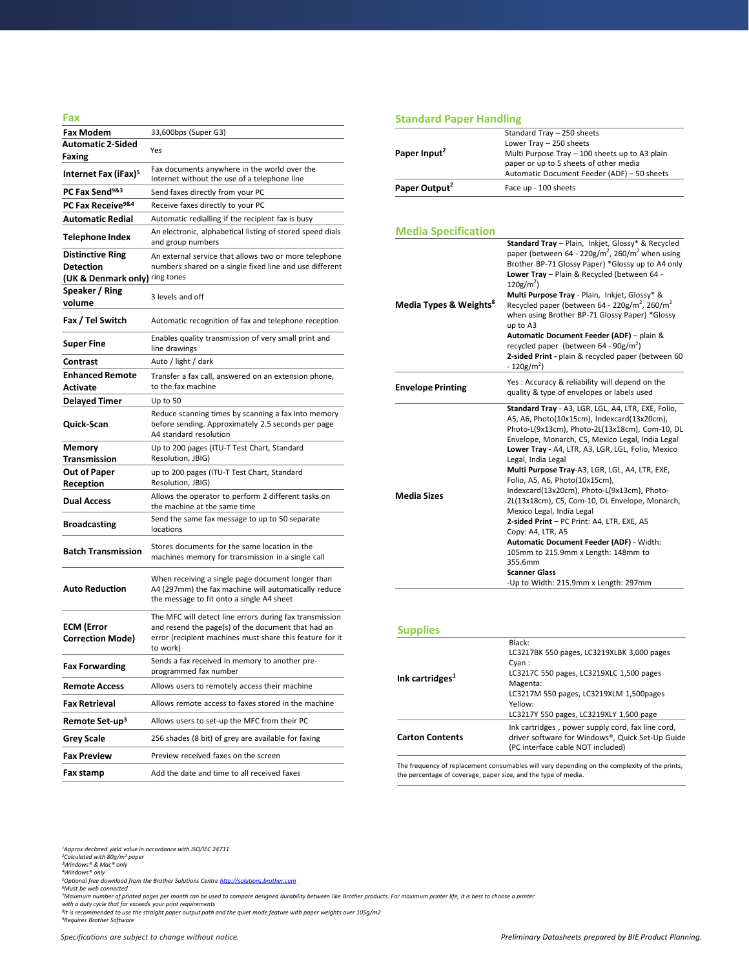| Fax                                          |                                                                                                                                                                                       |
|----------------------------------------------|---------------------------------------------------------------------------------------------------------------------------------------------------------------------------------------|
| <b>Fax Modem</b>                             | 33,600bps (Super G3)                                                                                                                                                                  |
| <b>Automatic 2-Sided</b><br>Faxing           | Yes                                                                                                                                                                                   |
| Internet Fax (iFax) <sup>5</sup>             | Fax documents anywhere in the world over the<br>Internet without the use of a telephone line                                                                                          |
| PC Fax Send <sup>9&amp;3</sup>               | Send faxes directly from your PC                                                                                                                                                      |
| PC Fax Receive <sup>9&amp;4</sup>            | Receive faxes directly to your PC                                                                                                                                                     |
| <b>Automatic Redial</b>                      | Automatic redialling if the recipient fax is busy                                                                                                                                     |
| Telephone Index                              | An electronic, alphabetical listing of stored speed dials<br>and group numbers                                                                                                        |
| <b>Distinctive Ring</b><br><b>Detection</b>  | An external service that allows two or more telephone<br>numbers shared on a single fixed line and use different                                                                      |
| (UK & Denmark only) ring tones               |                                                                                                                                                                                       |
| <b>Speaker / Ring</b><br>volume              | 3 levels and off                                                                                                                                                                      |
| Fax / Tel Switch                             | Automatic recognition of fax and telephone reception                                                                                                                                  |
| Super Fine                                   | Enables quality transmission of very small print and<br>line drawings                                                                                                                 |
| Contrast                                     | Auto / light / dark                                                                                                                                                                   |
| <b>Enhanced Remote</b><br>Activate           | Transfer a fax call, answered on an extension phone,<br>to the fax machine                                                                                                            |
| <b>Delayed Timer</b>                         | Up to 50                                                                                                                                                                              |
| Quick-Scan                                   | Reduce scanning times by scanning a fax into memory<br>before sending. Approximately 2.5 seconds per page<br>A4 standard resolution                                                   |
| Memory<br>Transmission                       | Up to 200 pages (ITU-T Test Chart, Standard<br>Resolution, JBIG)                                                                                                                      |
| <b>Out of Paper</b><br>Reception             | up to 200 pages (ITU-T Test Chart, Standard<br>Resolution, JBIG)                                                                                                                      |
| <b>Dual Access</b>                           | Allows the operator to perform 2 different tasks on<br>the machine at the same time                                                                                                   |
| <b>Broadcasting</b>                          | Send the same fax message to up to 50 separate<br>locations                                                                                                                           |
| <b>Batch Transmission</b>                    | Stores documents for the same location in the<br>machines memory for transmission in a single call                                                                                    |
| <b>Auto Reduction</b>                        | When receiving a single page document longer than<br>A4 (297mm) the fax machine will automatically reduce<br>the message to fit onto a single A4 sheet                                |
| <b>ECM (Error</b><br><b>Correction Mode)</b> | The MFC will detect line errors during fax transmission<br>and resend the page(s) of the document that had an<br>error (recipient machines must share this feature for it<br>to work) |
| <b>Fax Forwarding</b>                        | Sends a fax received in memory to another pre<br>programmed fax number                                                                                                                |
| <b>Remote Access</b>                         | Allows users to remotely access their machine                                                                                                                                         |
| <b>Fax Retrieval</b>                         | Allows remote access to faxes stored in the machine                                                                                                                                   |
| Remote Set-up <sup>3</sup>                   | Allows users to set-up the MFC from their PC                                                                                                                                          |
| <b>Grey Scale</b>                            | 256 shades (8 bit) of grey are available for faxing                                                                                                                                   |
| <b>Fax Preview</b>                           | Preview received faxes on the screen                                                                                                                                                  |
| Fax stamp                                    | Add the date and time to all received faxes                                                                                                                                           |

## **Standard Paper Handling**

| Paper Input <sup>2</sup>           | Standard Tray - 250 sheets<br>Lower Tray - 250 sheets<br>Multi Purpose Tray - 100 sheets up to A3 plain<br>paper or up to 5 sheets of other media<br>Automatic Document Feeder (ADF) - 50 sheets                                                                                                                                                                                                                                                                                                                                                                                                                                                                                                                                       |
|------------------------------------|----------------------------------------------------------------------------------------------------------------------------------------------------------------------------------------------------------------------------------------------------------------------------------------------------------------------------------------------------------------------------------------------------------------------------------------------------------------------------------------------------------------------------------------------------------------------------------------------------------------------------------------------------------------------------------------------------------------------------------------|
| Paper Output <sup>2</sup>          | Face up - 100 sheets                                                                                                                                                                                                                                                                                                                                                                                                                                                                                                                                                                                                                                                                                                                   |
| <b>Media Specification</b>         |                                                                                                                                                                                                                                                                                                                                                                                                                                                                                                                                                                                                                                                                                                                                        |
| Media Types & Weights <sup>8</sup> | Standard Tray - Plain, Inkjet, Glossy* & Recycled<br>paper (between 64 - 220g/m <sup>2</sup> , 260/m <sup>2</sup> when using<br>Brother BP-71 Glossy Paper) *Glossy up to A4 only<br>Lower Tray - Plain & Recycled (between 64 -<br>$120g/m2$ )<br>Multi Purpose Tray - Plain, Inkjet, Glossy* &<br>Recycled paper (between 64 - 220g/m <sup>2</sup> , 260/m <sup>2</sup><br>when using Brother BP-71 Glossy Paper) *Glossy<br>up to A3<br>Automatic Document Feeder (ADF) - plain &<br>recycled paper (between $64 - 90g/m^2$ )<br>2-sided Print - plain & recycled paper (between 60<br>$-120$ g/m <sup>2</sup> )                                                                                                                    |
| <b>Envelope Printing</b>           | Yes: Accuracy & reliability will depend on the<br>quality & type of envelopes or labels used                                                                                                                                                                                                                                                                                                                                                                                                                                                                                                                                                                                                                                           |
| <b>Media Sizes</b>                 | Standard Tray - A3, LGR, LGL, A4, LTR, EXE, Folio,<br>A5, A6, Photo(10x15cm), Indexcard(13x20cm),<br>Photo-L(9x13cm), Photo-2L(13x18cm), Com-10, DL<br>Envelope, Monarch, C5, Mexico Legal, India Legal<br>Lower Tray - A4, LTR, A3, LGR, LGL, Folio, Mexico<br>Legal, India Legal<br>Multi Purpose Tray-A3, LGR, LGL, A4, LTR, EXE,<br>Folio, A5, A6, Photo(10x15cm),<br>Indexcard(13x20cm), Photo-L(9x13cm), Photo-<br>2L(13x18cm), C5, Com-10, DL Envelope, Monarch,<br>Mexico Legal, India Legal<br>2-sided Print - PC Print: A4, LTR, EXE, A5<br>Copy: A4, LTR, A5<br>Automatic Document Feeder (ADF) - Width:<br>105mm to 215.9mm x Length: 148mm to<br>355.6mm<br><b>Scanner Glass</b><br>-Up to Width: 215.9mm x Length: 297mm |

#### **Supplies**

| <b>Carton Contents</b>      | Ink cartridges, power supply cord, fax line cord,<br>driver software for Windows®, Quick Set-Up Guide<br>(PC interface cable NOT included) |
|-----------------------------|--------------------------------------------------------------------------------------------------------------------------------------------|
|                             | Magenta:<br>LC3217M 550 pages, LC3219XLM 1,500pages<br>Yellow:<br>LC3217Y 550 pages, LC3219XLY 1,500 page                                  |
| Ink cartridges <sup>1</sup> | Black:<br>LC3217BK 550 pages, LC3219XLBK 3,000 pages<br>Cyan:<br>LC3217C 550 pages, LC3219XLC 1,500 pages                                  |

The frequency of replacement consumables will vary depending on the complexity of the prints, the neglectric coverage, paper size, and the type of media.

*<sup>1</sup>Approx declared yield value in accordance with ISO/IEC 24711 <sup>2</sup>Calculated with 80g/m² paper <sup>3</sup>Windows® & Mac® only*

<sup>4</sup>Windows® only<br><sup>5</sup>Optional free download from the Brother Solutions Centre <u>[http://solutions.brother.com](http://solutions.brother.com/)</u><br><sup>5</sup>Must be web connected<br><sup>7</sup>Maximum number of printed pages per month can be used to compare designed durability b